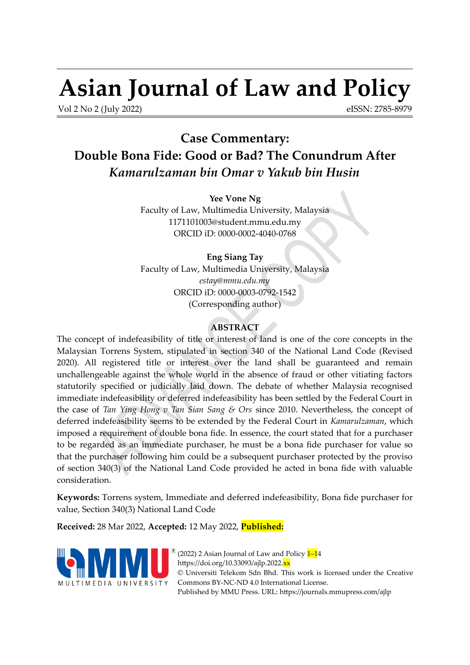# **Asian Journal of Law and Policy**

Vol 2 No 2 (July 2022)

<span id="page-0-0"></span>eISSN: 2785-8979

# **Case Commentary: Double Bona Fide: Good or Bad? The Conundrum After** *Kamarulzaman bin Omar v Yakub bin Husin*

**Yee Vone Ng** Faculty of Law, Multimedia University, Malaysia 1171101003@student.mmu.edu.my ORCID iD: [0000-0002-4040-0768](https://orcid.org/0000-0002-4040-0768)

**Eng Siang Tay** Faculty of Law, Multimedia University, Malaysia *[estay@mmu.edu.my](mailto:estay@mmu.edu.my)* ORCID iD: [0000-0003-0792-1542](https://orcid.org/0000-0003-0792-1542) (Corresponding author)

# **ABSTRACT**

The concept of indefeasibility of title or interest of land is one of the core concepts in the Malaysian Torrens System, stipulated in section 340 of the National Land Code (Revised 2020). All registered title or interest over the land shall be guaranteed and remain unchallengeable against the whole world in the absence of fraud or other vitiating factors statutorily specified or judicially laid down. The debate of whether Malaysia recognised immediate indefeasibility or deferred indefeasibility has been settled by the Federal Court in the case of *Tan Ying Hong v Tan Sian Sang & Ors* since 2010. Nevertheless, the concept of deferred indefeasibility seems to be extended by the Federal Court in *Kamarulzaman*, which imposed a requirement of double bona fide. In essence, the court stated that for a purchaser to be regarded as an immediate purchaser, he must be a bona fide purchaser for value so that the purchaser following him could be a subsequent purchaser protected by the proviso of section 340(3) of the National Land Code provided he acted in bona fide with valuable consideration.

**Keywords:** Torrens system, Immediate and deferred indefeasibility, Bona fide purchaser for value, Section 340(3) National Land Code

**Received:** 28 Mar 2022, **Accepted:** 12 May 2022, **Published:**



(2022) 2 Asian Journal of Law and Policy  $1-14$  $1-14$ https://doi.org/10.33093/ajlp.2022.<mark>xx</mark> © Universiti Telekom Sdn Bhd. This work is licensed under the [Creative](https://creativecommons.org/licenses/by-nc-nd/4.0/) [Commons BY-NC-ND 4.0 International License.](https://creativecommons.org/licenses/by-nc-nd/4.0/) Published by MMU Press. URL:<https://journals.mmupress.com/ajlp>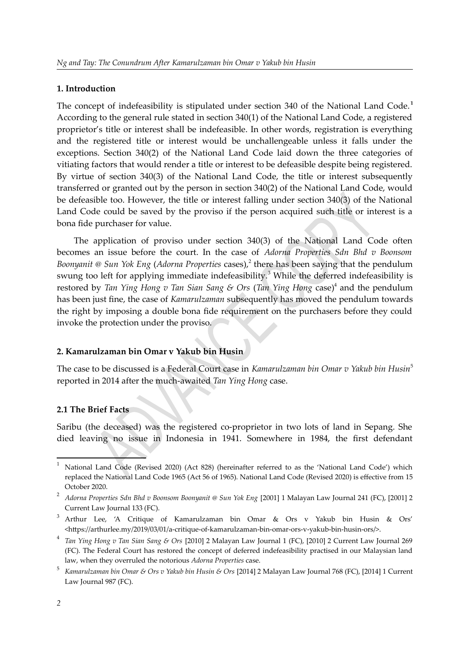#### **1. Introduction**

<span id="page-1-0"></span>The concept of indefeasibility is stipulated under section 340 of the National Land Code. **[1](#page-1-1)** According to the general rule stated in section 340(1) of the National Land Code, a registered proprietor's title or interest shall be indefeasible. In other words, registration is everything and the registered title or interest would be unchallengeable unless it falls under the exceptions. Section 340(2) of the National Land Code laid down the three categories of vitiating factors that would render a title or interest to be defeasible despite being registered. By virtue of section 340(3) of the National Land Code, the title or interest subsequently transferred or granted out by the person in section 340(2) of the National Land Code, would be defeasible too. However, the title or interest falling under section 340(3) of the National Land Code could be saved by the proviso if the person acquired such title or interest is a bona fide purchaser for value.

<span id="page-1-6"></span><span id="page-1-4"></span><span id="page-1-2"></span>The application of proviso under section 340(3) of the National Land Code often becomes an issue before the court. In the case of *Adorna Properties Sdn Bhd v Boonsom* Boonyanit @ Sun Yok Eng (*Adorna Properties cases*),<sup>[2](#page-1-3)</sup> there has been saying that the pendulum swung too left for applying immediate indefeasibility.<sup>[3](#page-1-5)</sup> While the deferred indefeasibility is restored by *Tan Ying Hong v Tan Sian Sang & Ors* (*Tan Ying Hong* case) [4](#page-1-7) and the pendulum has been just fine, the case of *Kamarulzaman* subsequently has moved the pendulum towards the right by imposing a double bona fide requirement on the purchasers before they could invoke the protection under the proviso.

# **2. Kamarulzaman bin Omar v Yakub bin Husin**

<span id="page-1-8"></span>The case to be discussed is a Federal Court case in *Kamarulzaman bin Omar v Yakub bin Husin*[5](#page-1-9) reported in 2014 after the much-awaited *Tan Ying Hong* case.

#### **2.1 The Brief Facts**

Saribu (the deceased) was the registered co-proprietor in two lots of land in Sepang. She died leaving no issue in Indonesia in 1941. Somewhere in 1984, the first defendant

<span id="page-1-1"></span>[<sup>1</sup>](#page-1-0) National Land Code (Revised 2020) (Act 828) (hereinafter referred to as the 'National Land Code') which replaced the National Land Code 1965 (Act 56 of 1965). National Land Code (Revised 2020) is effective from 15 October 2020.

<span id="page-1-3"></span><sup>&</sup>lt;sup>[2](#page-1-2)</sup> Adorna Properties Sdn Bhd v Boonsom Boonyanit @ Sun Yok Eng [2001] 1 Malayan Law Journal 241 (FC), [2001] 2 Current Law Journal 133 (FC).

<span id="page-1-5"></span><sup>&</sup>lt;sup>[3](#page-1-4)</sup> Arthur Lee, 'A Critique of Kamarulzaman bin Omar & Ors v Yakub bin Husin & Ors' <https://arthurlee.my/2019/03/01/a-critique-of-kamarulzaman-bin-omar-ors-v-yakub-bin-husin-ors/>.

<span id="page-1-7"></span>[<sup>4</sup>](#page-1-6) *Tan Ying Hong v Tan Sian Sang & Ors* [2010] 2 Malayan Law Journal 1 (FC), [2010] 2 Current Law Journal 269 (FC). The Federal Court has restored the concept of deferred indefeasibility practised in our Malaysian land law, when they overruled the notorious *Adorna Properties* case.

<span id="page-1-9"></span>[<sup>5</sup>](#page-1-8) *Kamarulzaman bin Omar & Ors v Yakub bin Husin & Ors* [2014] 2 Malayan Law Journal 768 (FC), [2014] 1 Current Law Journal 987 (FC).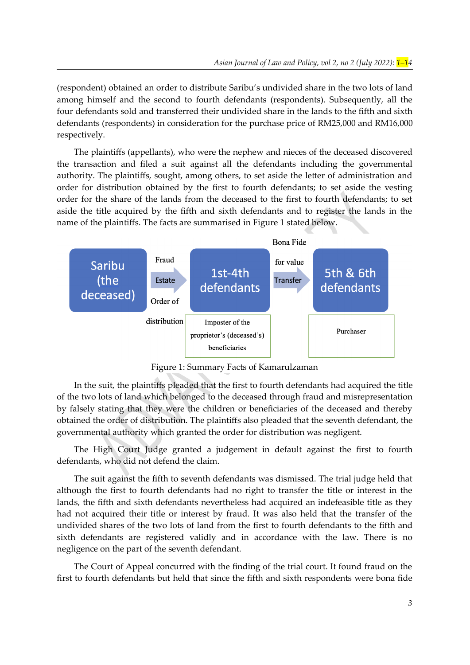(respondent) obtained an order to distribute Saribu's undivided share in the two lots of land among himself and the second to fourth defendants (respondents). Subsequently, all the four defendants sold and transferred their undivided share in the lands to the fifth and sixth defendants (respondents) in consideration for the purchase price of RM25,000 and RM16,000 respectively.

The plaintiffs (appellants), who were the nephew and nieces of the deceased discovered the transaction and filed a suit against all the defendants including the governmental authority. The plaintiffs, sought, among others, to set aside the letter of administration and order for distribution obtained by the first to fourth defendants; to set aside the vesting order for the share of the lands from the deceased to the first to fourth defendants; to set aside the title acquired by the fifth and sixth defendants and to register the lands in the name of the plaintiffs. The facts are summarised in Figure 1 stated below.



Figure 1: Summary Facts of Kamarulzaman

In the suit, the plaintiffs pleaded that the first to fourth defendants had acquired the title of the two lots of land which belonged to the deceased through fraud and misrepresentation by falsely stating that they were the children or beneficiaries of the deceased and thereby obtained the order of distribution. The plaintiffs also pleaded that the seventh defendant, the governmental authority which granted the order for distribution was negligent.

The High Court Judge granted a judgement in default against the first to fourth defendants, who did not defend the claim.

The suit against the fifth to seventh defendants was dismissed. The trial judge held that although the first to fourth defendants had no right to transfer the title or interest in the lands, the fifth and sixth defendants nevertheless had acquired an indefeasible title as they had not acquired their title or interest by fraud. It was also held that the transfer of the undivided shares of the two lots of land from the first to fourth defendants to the fifth and sixth defendants are registered validly and in accordance with the law. There is no negligence on the part of the seventh defendant.

The Court of Appeal concurred with the finding of the trial court. It found fraud on the first to fourth defendants but held that since the fifth and sixth respondents were bona fide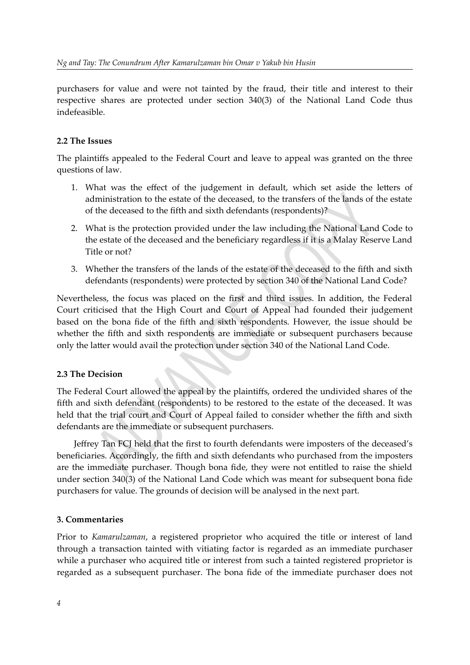purchasers for value and were not tainted by the fraud, their title and interest to their respective shares are protected under section 340(3) of the National Land Code thus indefeasible.

# **2.2 The Issues**

The plaintiffs appealed to the Federal Court and leave to appeal was granted on the three questions of law.

- 1. What was the effect of the judgement in default, which set aside the letters of administration to the estate of the deceased, to the transfers of the lands of the estate of the deceased to the fifth and sixth defendants (respondents)?
- 2. What is the protection provided under the law including the National Land Code to the estate of the deceased and the beneficiary regardless if it is a Malay Reserve Land Title or not?
- 3. Whether the transfers of the lands of the estate of the deceased to the fifth and sixth defendants (respondents) were protected by section 340 of the National Land Code?

Nevertheless, the focus was placed on the first and third issues. In addition, the Federal Court criticised that the High Court and Court of Appeal had founded their judgement based on the bona fide of the fifth and sixth respondents. However, the issue should be whether the fifth and sixth respondents are immediate or subsequent purchasers because only the latter would avail the protection under section 340 of the National Land Code.

# **2.3 The Decision**

The Federal Court allowed the appeal by the plaintiffs, ordered the undivided shares of the fifth and sixth defendant (respondents) to be restored to the estate of the deceased. It was held that the trial court and Court of Appeal failed to consider whether the fifth and sixth defendants are the immediate or subsequent purchasers.

Jeffrey Tan FCJ held that the first to fourth defendants were imposters of the deceased's beneficiaries. Accordingly, the fifth and sixth defendants who purchased from the imposters are the immediate purchaser. Though bona fide, they were not entitled to raise the shield under section 340(3) of the National Land Code which was meant for subsequent bona fide purchasers for value. The grounds of decision will be analysed in the next part.

# **3. Commentaries**

Prior to *Kamarulzaman*, a registered proprietor who acquired the title or interest of land through a transaction tainted with vitiating factor is regarded as an immediate purchaser while a purchaser who acquired title or interest from such a tainted registered proprietor is regarded as a subsequent purchaser. The bona fide of the immediate purchaser does not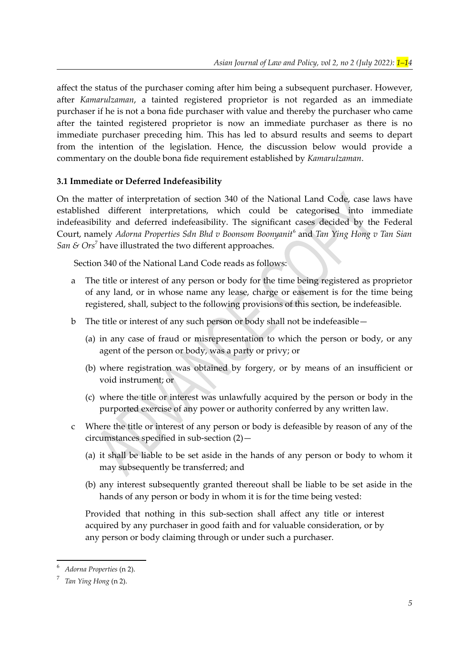affect the status of the purchaser coming after him being a subsequent purchaser. However, after *Kamarulzaman*, a tainted registered proprietor is not regarded as an immediate purchaser if he is not a bona fide purchaser with value and thereby the purchaser who came after the tainted registered proprietor is now an immediate purchaser as there is no immediate purchaser preceding him. This has led to absurd results and seems to depart from the intention of the legislation. Hence, the discussion below would provide a commentary on the double bona fide requirement established by *Kamarulzaman*.

#### **3.1 Immediate or Deferred Indefeasibility**

On the matter of interpretation of section 340 of the National Land Code, case laws have established different interpretations, which could be categorised into immediate indefeasibility and deferred indefeasibility. The significant cases decided by the Federal Court, namely *Adorna Properties Sdn Bhd v Boonsom Boonyanit*[6](#page-4-1) and *Tan Ying Hong v Tan Sian* San  $\&$  Ors<sup>[7](#page-4-3)</sup> have illustrated the two different approaches.

<span id="page-4-2"></span><span id="page-4-0"></span>Section 340 of the National Land Code reads as follows:

- a The title or interest of any person or body for the time being registered as proprietor of any land, or in whose name any lease, charge or easement is for the time being registered, shall, subject to the following provisions of this section, be indefeasible.
- b The title or interest of any such person or body shall not be indefeasible—
	- (a) in any case of fraud or misrepresentation to which the person or body, or any agent of the person or body, was a party or privy; or
	- (b) where registration was obtained by forgery, or by means of an insufficient or void instrument; or
	- (c) where the title or interest was unlawfully acquired by the person or body in the purported exercise of any power or authority conferred by any written law.
- c Where the title or interest of any person or body is defeasible by reason of any of the circumstances specified in sub-section (2)—
	- (a) it shall be liable to be set aside in the hands of any person or body to whom it may subsequently be transferred; and
	- (b) any interest subsequently granted thereout shall be liable to be set aside in the hands of any person or body in whom it is for the time being vested:

Provided that nothing in this sub-section shall affect any title or interest acquired by any purchaser in good faith and for valuable consideration, or by any person or body claiming through or under such a purchaser.

<span id="page-4-1"></span>[<sup>6</sup>](#page-4-0)*Adorna Properties* (n [2](#page-1-3)).

<span id="page-4-3"></span>[<sup>7</sup>](#page-4-2)*Tan Ying Hong* (n [2](#page-1-7)).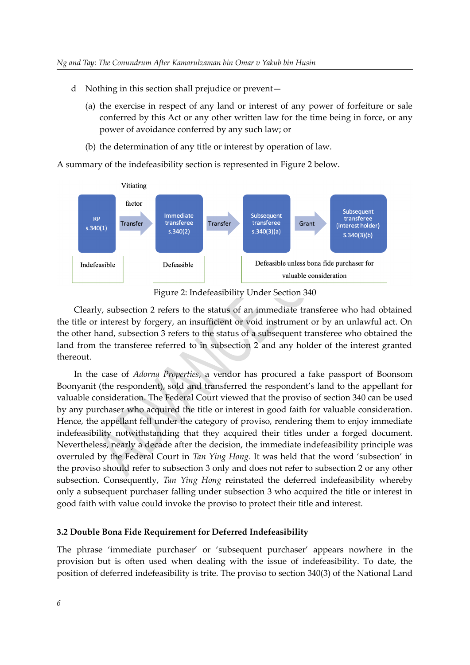- d Nothing in this section shall prejudice or prevent—
	- (a) the exercise in respect of any land or interest of any power of forfeiture or sale conferred by this Act or any other written law for the time being in force, or any power of avoidance conferred by any such law; or
	- (b) the determination of any title or interest by operation of law.

A summary of the indefeasibility section is represented in Figure 2 below.



Figure 2: Indefeasibility Under Section 340

Clearly, subsection 2 refers to the status of an immediate transferee who had obtained the title or interest by forgery, an insufficient or void instrument or by an unlawful act. On the other hand, subsection 3 refers to the status of a subsequent transferee who obtained the land from the transferee referred to in subsection 2 and any holder of the interest granted thereout.

In the case of *Adorna Properties*, a vendor has procured a fake passport of Boonsom Boonyanit (the respondent), sold and transferred the respondent's land to the appellant for valuable consideration. The Federal Court viewed that the proviso of section 340 can be used by any purchaser who acquired the title or interest in good faith for valuable consideration. Hence, the appellant fell under the category of proviso, rendering them to enjoy immediate indefeasibility notwithstanding that they acquired their titles under a forged document. Nevertheless, nearly a decade after the decision, the immediate indefeasibility principle was overruled by the Federal Court in *Tan Ying Hong*. It was held that the word 'subsection' in the proviso should refer to subsection 3 only and does not refer to subsection 2 or any other subsection. Consequently, *Tan Ying Hong* reinstated the deferred indefeasibility whereby only a subsequent purchaser falling under subsection 3 who acquired the title or interest in good faith with value could invoke the proviso to protect their title and interest.

#### **3.2 Double Bona Fide Requirement for Deferred Indefeasibility**

The phrase 'immediate purchaser' or 'subsequent purchaser' appears nowhere in the provision but is often used when dealing with the issue of indefeasibility. To date, the position of deferred indefeasibility is trite. The proviso to section 340(3) of the National Land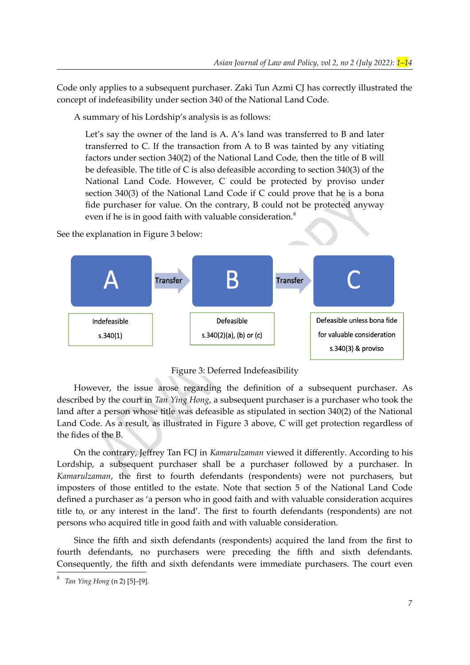Code only applies to a subsequent purchaser. Zaki Tun Azmi CJ has correctly illustrated the concept of indefeasibility under section 340 of the National Land Code.

A summary of his Lordship's analysis is as follows:

Let's say the owner of the land is A. A's land was transferred to B and later transferred to C. If the transaction from A to B was tainted by any vitiating factors under section 340(2) of the National Land Code, then the title of B will be defeasible. The title of C is also defeasible according to section 340(3) of the National Land Code. However, C could be protected by proviso under section 340(3) of the National Land Code if C could prove that he is a bona fide purchaser for value. On the contrary, B could not be protected anyway even if he is in good faith with valuable consideration.<sup>[8](#page-6-1)</sup>

See the explanation in Figure 3 below:



<span id="page-6-0"></span>Figure 3: Deferred Indefeasibility

However, the issue arose regarding the definition of a subsequent purchaser. As described by the court in *Tan Ying Hong*, a subsequent purchaser is a purchaser who took the land after a person whose title was defeasible as stipulated in section 340(2) of the National Land Code. As a result, as illustrated in Figure 3 above, C will get protection regardless of the fides of the B.

On the contrary, Jeffrey Tan FCJ in *Kamarulzaman* viewed it differently. According to his Lordship, a subsequent purchaser shall be a purchaser followed by a purchaser. In *Kamarulzaman*, the first to fourth defendants (respondents) were not purchasers, but imposters of those entitled to the estate. Note that section 5 of the National Land Code defined a purchaser as 'a person who in good faith and with valuable consideration acquires title to, or any interest in the land'. The first to fourth defendants (respondents) are not persons who acquired title in good faith and with valuable consideration.

Since the fifth and sixth defendants (respondents) acquired the land from the first to fourth defendants, no purchasers were preceding the fifth and sixth defendants. Consequently, the fifth and sixth defendants were immediate purchasers. The court even

<span id="page-6-1"></span>[<sup>8</sup>](#page-6-0) *Tan Ying Hong* (n [2](#page-1-7)) [5]–[9].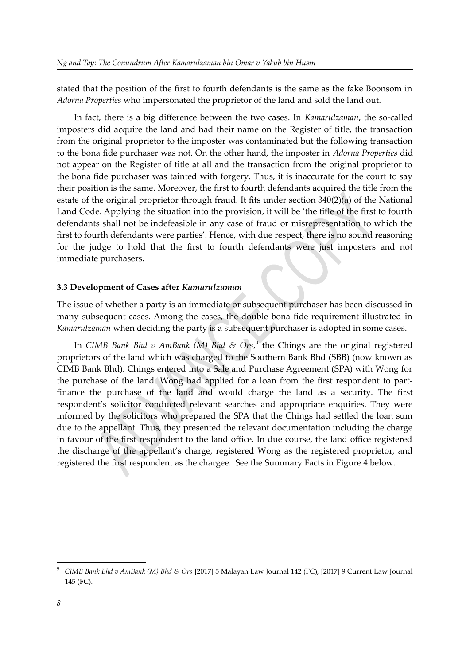stated that the position of the first to fourth defendants is the same as the fake Boonsom in *Adorna Properties* who impersonated the proprietor of the land and sold the land out.

In fact, there is a big difference between the two cases. In *Kamarulzaman*, the so-called imposters did acquire the land and had their name on the Register of title, the transaction from the original proprietor to the imposter was contaminated but the following transaction to the bona fide purchaser was not. On the other hand, the imposter in *Adorna Properties* did not appear on the Register of title at all and the transaction from the original proprietor to the bona fide purchaser was tainted with forgery. Thus, it is inaccurate for the court to say their position is the same. Moreover, the first to fourth defendants acquired the title from the estate of the original proprietor through fraud. It fits under section 340(2)(a) of the National Land Code. Applying the situation into the provision, it will be 'the title of the first to fourth defendants shall not be indefeasible in any case of fraud or misrepresentation to which the first to fourth defendants were parties'. Hence, with due respect, there is no sound reasoning for the judge to hold that the first to fourth defendants were just imposters and not immediate purchasers.

#### **3.3 Development of Cases after** *Kamarulzaman*

The issue of whether a party is an immediate or subsequent purchaser has been discussed in many subsequent cases. Among the cases, the double bona fide requirement illustrated in *Kamarulzaman* when deciding the party is a subsequent purchaser is adopted in some cases.

<span id="page-7-0"></span>In *CIMB Bank Bhd v AmBank (M) Bhd & Ors*, [9](#page-7-1) the Chings are the original registered proprietors of the land which was charged to the Southern Bank Bhd (SBB) (now known as CIMB Bank Bhd). Chings entered into a Sale and Purchase Agreement (SPA) with Wong for the purchase of the land. Wong had applied for a loan from the first respondent to partfinance the purchase of the land and would charge the land as a security. The first respondent's solicitor conducted relevant searches and appropriate enquiries. They were informed by the solicitors who prepared the SPA that the Chings had settled the loan sum due to the appellant. Thus, they presented the relevant documentation including the charge in favour of the first respondent to the land office. In due course, the land office registered the discharge of the appellant's charge, registered Wong as the registered proprietor, and registered the first respondent as the chargee. See the Summary Facts in Figure 4 below.

<span id="page-7-1"></span>[<sup>9</sup>](#page-7-0) *CIMB Bank Bhd v AmBank (M) Bhd & Ors* [2017] 5 Malayan Law Journal 142 (FC), [2017] 9 Current Law Journal 145 (FC).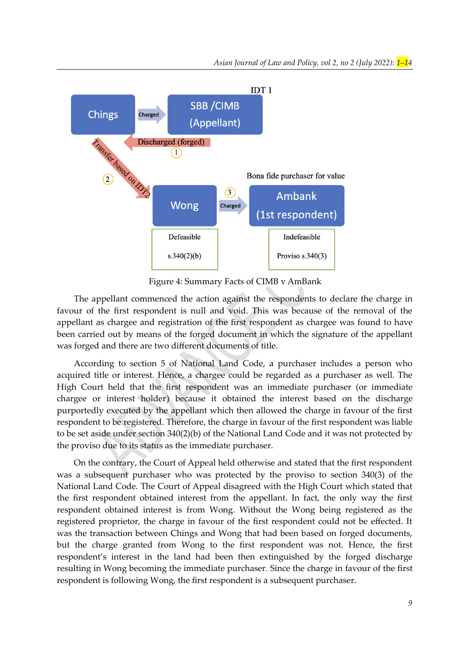

Figure 4: Summary Facts of CIMB v AmBank

The appellant commenced the action against the respondents to declare the charge in favour of the first respondent is null and void. This was because of the removal of the appellant as chargee and registration of the first respondent as chargee was found to have been carried out by means of the forged document in which the signature of the appellant was forged and there are two different documents of title.

According to section 5 of National Land Code, a purchaser includes a person who acquired title or interest. Hence, a chargee could be regarded as a purchaser as well. The High Court held that the first respondent was an immediate purchaser (or immediate chargee or interest holder) because it obtained the interest based on the discharge purportedly executed by the appellant which then allowed the charge in favour of the first respondent to be registered. Therefore, the charge in favour of the first respondent was liable to be set aside under section 340(2)(b) of the National Land Code and it was not protected by the proviso due to its status as the immediate purchaser.

On the contrary, the Court of Appeal held otherwise and stated that the first respondent was a subsequent purchaser who was protected by the proviso to section 340(3) of the National Land Code. The Court of Appeal disagreed with the High Court which stated that the first respondent obtained interest from the appellant. In fact, the only way the first respondent obtained interest is from Wong. Without the Wong being registered as the registered proprietor, the charge in favour of the first respondent could not be effected. It was the transaction between Chings and Wong that had been based on forged documents, but the charge granted from Wong to the first respondent was not. Hence, the first respondent's interest in the land had been then extinguished by the forged discharge resulting in Wong becoming the immediate purchaser. Since the charge in favour of the first respondent is following Wong, the first respondent is a subsequent purchaser.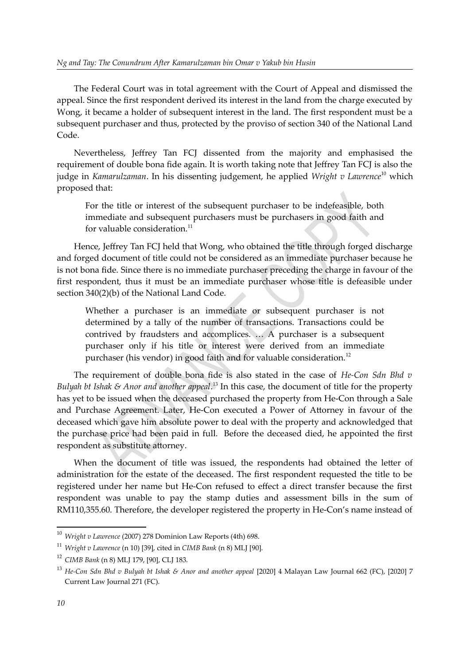The Federal Court was in total agreement with the Court of Appeal and dismissed the appeal. Since the first respondent derived its interest in the land from the charge executed by Wong, it became a holder of subsequent interest in the land. The first respondent must be a subsequent purchaser and thus, protected by the proviso of section 340 of the National Land Code.

Nevertheless, Jeffrey Tan FCJ dissented from the majority and emphasised the requirement of double bona fide again. It is worth taking note that Jeffrey Tan FCJ is also the judge in *Kamarulzaman*. In his dissenting judgement, he applied *Wright v Lawrence*[10](#page-9-0) which proposed that:

<span id="page-9-2"></span><span id="page-9-1"></span>For the title or interest of the subsequent purchaser to be indefeasible, both immediate and subsequent purchasers must be purchasers in good faith and for valuable consideration.<sup>[11](#page-9-3)</sup>

Hence, Jeffrey Tan FCJ held that Wong, who obtained the title through forged discharge and forged document of title could not be considered as an immediate purchaser because he is not bona fide. Since there is no immediate purchaser preceding the charge in favour of the first respondent, thus it must be an immediate purchaser whose title is defeasible under section 340(2)(b) of the National Land Code.

<span id="page-9-6"></span><span id="page-9-4"></span>Whether a purchaser is an immediate or subsequent purchaser is not determined by a tally of the number of transactions. Transactions could be contrived by fraudsters and accomplices. … A purchaser is a subsequent purchaser only if his title or interest were derived from an immediate purchaser (his vendor) in good faith and for valuable consideration.<sup>[12](#page-9-5)</sup>

The requirement of double bona fide is also stated in the case of *He-Con Sdn Bhd v Bulyah bt Ishak & Anor and another appeal*. [13](#page-9-7) In this case, the document of title for the property has yet to be issued when the deceased purchased the property from He-Con through a Sale and Purchase Agreement. Later, He-Con executed a Power of Attorney in favour of the deceased which gave him absolute power to deal with the property and acknowledged that the purchase price had been paid in full. Before the deceased died, he appointed the first respondent as substitute attorney.

When the document of title was issued, the respondents had obtained the letter of administration for the estate of the deceased. The first respondent requested the title to be registered under her name but He-Con refused to effect a direct transfer because the first respondent was unable to pay the stamp duties and assessment bills in the sum of RM110,355.60. Therefore, the developer registered the property in He-Con's name instead of

<span id="page-9-0"></span>[<sup>10</sup>](#page-9-1) *Wright v Lawrence* (2007) 278 Dominion Law Reports (4th) 698.

<span id="page-9-3"></span>[<sup>11</sup>](#page-9-2) *Wright v Lawrence* (n [10](#page-9-0)) [39], cited in *CIMB Bank* (n [8\)](#page-7-1) MLJ [90].

<span id="page-9-5"></span>[<sup>12</sup>](#page-9-4) *CIMB Bank* (n [8](#page-7-1)) MLJ 179, [90], CLJ 183.

<span id="page-9-7"></span><sup>&</sup>lt;sup>[13](#page-9-6)</sup> He-Con Sdn Bhd v Bulyah bt Ishak & Anor and another appeal [2020] 4 Malayan Law Journal 662 (FC), [2020] 7 Current Law Journal 271 (FC).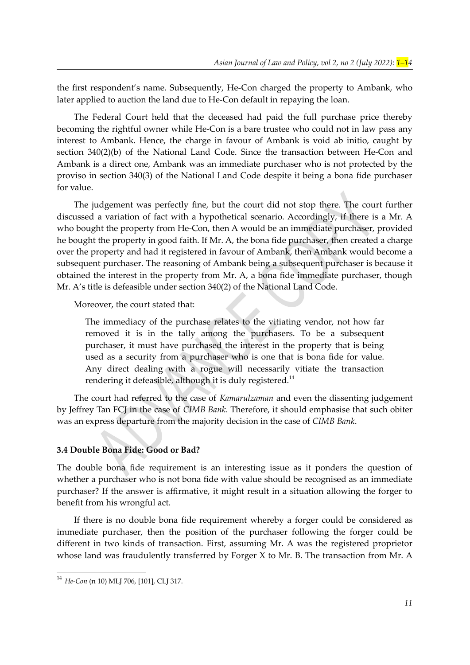the first respondent's name. Subsequently, He-Con charged the property to Ambank, who later applied to auction the land due to He-Con default in repaying the loan.

The Federal Court held that the deceased had paid the full purchase price thereby becoming the rightful owner while He-Con is a bare trustee who could not in law pass any interest to Ambank. Hence, the charge in favour of Ambank is void ab initio, caught by section 340(2)(b) of the National Land Code. Since the transaction between He-Con and Ambank is a direct one, Ambank was an immediate purchaser who is not protected by the proviso in section 340(3) of the National Land Code despite it being a bona fide purchaser for value.

The judgement was perfectly fine, but the court did not stop there. The court further discussed a variation of fact with a hypothetical scenario. Accordingly, if there is a Mr. A who bought the property from He-Con, then A would be an immediate purchaser, provided he bought the property in good faith. If Mr. A, the bona fide purchaser, then created a charge over the property and had it registered in favour of Ambank, then Ambank would become a subsequent purchaser. The reasoning of Ambank being a subsequent purchaser is because it obtained the interest in the property from Mr. A, a bona fide immediate purchaser, though Mr. A's title is defeasible under section 340(2) of the National Land Code.

Moreover, the court stated that:

<span id="page-10-0"></span>The immediacy of the purchase relates to the vitiating vendor, not how far removed it is in the tally among the purchasers. To be a subsequent purchaser, it must have purchased the interest in the property that is being used as a security from a purchaser who is one that is bona fide for value. Any direct dealing with a rogue will necessarily vitiate the transaction rendering it defeasible, although it is duly registered.<sup>[14](#page-10-1)</sup>

The court had referred to the case of *Kamarulzaman* and even the dissenting judgement by Jeffrey Tan FCJ in the case of *CIMB Bank*. Therefore, it should emphasise that such obiter was an express departure from the majority decision in the case of *CIMB Bank*.

#### **3.4 Double Bona Fide: Good or Bad?**

The double bona fide requirement is an interesting issue as it ponders the question of whether a purchaser who is not bona fide with value should be recognised as an immediate purchaser? If the answer is affirmative, it might result in a situation allowing the forger to benefit from his wrongful act.

If there is no double bona fide requirement whereby a forger could be considered as immediate purchaser, then the position of the purchaser following the forger could be different in two kinds of transaction. First, assuming Mr. A was the registered proprietor whose land was fraudulently transferred by Forger  $X$  to Mr. B. The transaction from Mr. A

<span id="page-10-1"></span>[<sup>14</sup>](#page-10-0) *He-Con* (n [10](#page-9-7)) MLJ 706, [101], CLJ 317.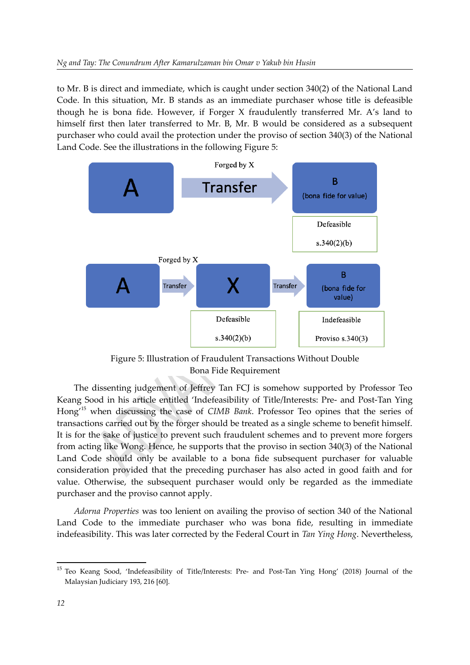to Mr. B is direct and immediate, which is caught under section 340(2) of the National Land Code. In this situation, Mr. B stands as an immediate purchaser whose title is defeasible though he is bona fide. However, if Forger X fraudulently transferred Mr. A's land to himself first then later transferred to Mr. B, Mr. B would be considered as a subsequent purchaser who could avail the protection under the proviso of section 340(3) of the National Land Code. See the illustrations in the following Figure 5:



Figure 5: Illustration of Fraudulent Transactions Without Double Bona Fide Requirement

<span id="page-11-0"></span>The dissenting judgement of Jeffrey Tan FCJ is somehow supported by Professor Teo Keang Sood in his article entitled 'Indefeasibility of Title/Interests: Pre- and Post-Tan Ying Hong'[15](#page-11-1) when discussing the case of *CIMB Bank*. Professor Teo opines that the series of transactions carried out by the forger should be treated as a single scheme to benefit himself. It is for the sake of justice to prevent such fraudulent schemes and to prevent more forgers from acting like Wong. Hence, he supports that the proviso in section 340(3) of the National Land Code should only be available to a bona fide subsequent purchaser for valuable consideration provided that the preceding purchaser has also acted in good faith and for value. Otherwise, the subsequent purchaser would only be regarded as the immediate purchaser and the proviso cannot apply.

*Adorna Properties* was too lenient on availing the proviso of section 340 of the National Land Code to the immediate purchaser who was bona fide, resulting in immediate indefeasibility. This was later corrected by the Federal Court in *Tan Ying Hong*. Nevertheless,

<span id="page-11-1"></span><sup>&</sup>lt;sup>[15](#page-11-0)</sup> Teo Keang Sood, 'Indefeasibility of Title/Interests: Pre- and Post-Tan Ying Hong' (2018) Journal of the Malaysian Judiciary 193, 216 [60].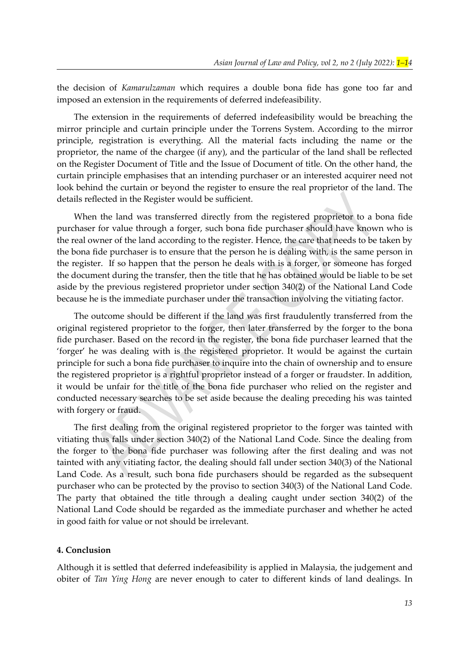the decision of *Kamarulzaman* which requires a double bona fide has gone too far and imposed an extension in the requirements of deferred indefeasibility.

The extension in the requirements of deferred indefeasibility would be breaching the mirror principle and curtain principle under the Torrens System. According to the mirror principle, registration is everything. All the material facts including the name or the proprietor, the name of the chargee (if any), and the particular of the land shall be reflected on the Register Document of Title and the Issue of Document of title. On the other hand, the curtain principle emphasises that an intending purchaser or an interested acquirer need not look behind the curtain or beyond the register to ensure the real proprietor of the land. The details reflected in the Register would be sufficient.

When the land was transferred directly from the registered proprietor to a bona fide purchaser for value through a forger, such bona fide purchaser should have known who is the real owner of the land according to the register. Hence, the care that needs to be taken by the bona fide purchaser is to ensure that the person he is dealing with, is the same person in the register. If so happen that the person he deals with is a forger, or someone has forged the document during the transfer, then the title that he has obtained would be liable to be set aside by the previous registered proprietor under section 340(2) of the National Land Code because he is the immediate purchaser under the transaction involving the vitiating factor.

The outcome should be different if the land was first fraudulently transferred from the original registered proprietor to the forger, then later transferred by the forger to the bona fide purchaser. Based on the record in the register, the bona fide purchaser learned that the 'forger' he was dealing with is the registered proprietor. It would be against the curtain principle for such a bona fide purchaser to inquire into the chain of ownership and to ensure the registered proprietor is a rightful proprietor instead of a forger or fraudster. In addition, it would be unfair for the title of the bona fide purchaser who relied on the register and conducted necessary searches to be set aside because the dealing preceding his was tainted with forgery or fraud.

The first dealing from the original registered proprietor to the forger was tainted with vitiating thus falls under section 340(2) of the National Land Code. Since the dealing from the forger to the bona fide purchaser was following after the first dealing and was not tainted with any vitiating factor, the dealing should fall under section 340(3) of the National Land Code. As a result, such bona fide purchasers should be regarded as the subsequent purchaser who can be protected by the proviso to section 340(3) of the National Land Code. The party that obtained the title through a dealing caught under section 340(2) of the National Land Code should be regarded as the immediate purchaser and whether he acted in good faith for value or not should be irrelevant.

#### **4. Conclusion**

Although it is settled that deferred indefeasibility is applied in Malaysia, the judgement and obiter of *Tan Ying Hong* are never enough to cater to different kinds of land dealings. In